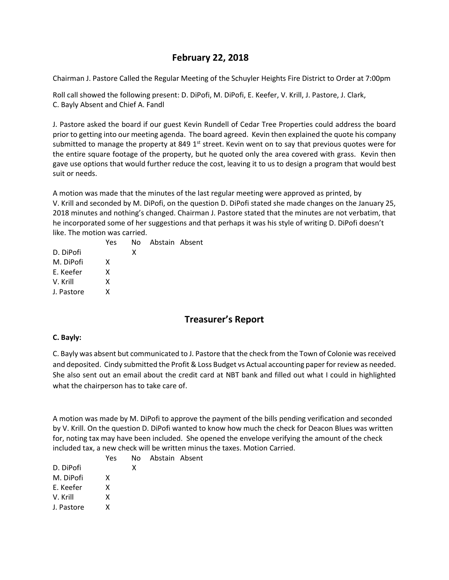# **February 22, 2018**

Chairman J. Pastore Called the Regular Meeting of the Schuyler Heights Fire District to Order at 7:00pm

Roll call showed the following present: D. DiPofi, M. DiPofi, E. Keefer, V. Krill, J. Pastore, J. Clark, C. Bayly Absent and Chief A. Fandl

J. Pastore asked the board if our guest Kevin Rundell of Cedar Tree Properties could address the board prior to getting into our meeting agenda. The board agreed. Kevin then explained the quote his company submitted to manage the property at 849  $1<sup>st</sup>$  street. Kevin went on to say that previous quotes were for the entire square footage of the property, but he quoted only the area covered with grass. Kevin then gave use options that would further reduce the cost, leaving it to us to design a program that would best suit or needs.

A motion was made that the minutes of the last regular meeting were approved as printed, by V. Krill and seconded by M. DiPofi, on the question D. DiPofi stated she made changes on the January 25, 2018 minutes and nothing's changed. Chairman J. Pastore stated that the minutes are not verbatim, that he incorporated some of her suggestions and that perhaps it was his style of writing D. DiPofi doesn't like. The motion was carried.

|            | Yes | No. | Abstain Absent |  |
|------------|-----|-----|----------------|--|
| D. DiPofi  |     | x   |                |  |
| M. DiPofi  | x   |     |                |  |
| E. Keefer  | x   |     |                |  |
| V. Krill   | x   |     |                |  |
| J. Pastore | x   |     |                |  |
|            |     |     |                |  |

# **Treasurer's Report**

#### **C. Bayly:**

C. Bayly was absent but communicated to J. Pastore that the check from the Town of Colonie was received and deposited. Cindy submitted the Profit & Loss Budget vs Actual accounting paper for review as needed. She also sent out an email about the credit card at NBT bank and filled out what I could in highlighted what the chairperson has to take care of.

A motion was made by M. DiPofi to approve the payment of the bills pending verification and seconded by V. Krill. On the question D. DiPofi wanted to know how much the check for Deacon Blues was written for, noting tax may have been included. She opened the envelope verifying the amount of the check included tax, a new check will be written minus the taxes. Motion Carried.

|            | Yes | No. | Abstain Absent |  |
|------------|-----|-----|----------------|--|
| D. DiPofi  |     | x   |                |  |
| M. DiPofi  | x   |     |                |  |
| E. Keefer  | x   |     |                |  |
| V. Krill   | x   |     |                |  |
| J. Pastore | x   |     |                |  |
|            |     |     |                |  |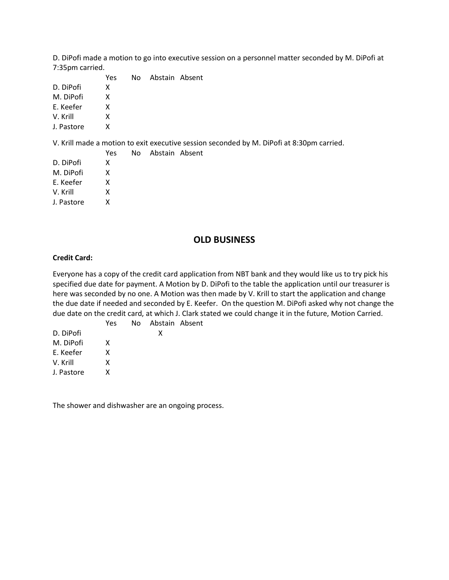D. DiPofi made a motion to go into executive session on a personnel matter seconded by M. DiPofi at 7:35pm carried.

|            | <b>Yes</b> | No. | Abstain Absent |  |
|------------|------------|-----|----------------|--|
| D. DiPofi  | x          |     |                |  |
| M. DiPofi  | x          |     |                |  |
| E. Keefer  | x          |     |                |  |
| V. Krill   | x          |     |                |  |
| J. Pastore | x          |     |                |  |
|            |            |     |                |  |

V. Krill made a motion to exit executive session seconded by M. DiPofi at 8:30pm carried.

|            | <b>Yes</b> | No. | Abstain Absent |  |
|------------|------------|-----|----------------|--|
| D. DiPofi  | x          |     |                |  |
| M. DiPofi  | x          |     |                |  |
| E. Keefer  | x          |     |                |  |
| V. Krill   | x          |     |                |  |
| J. Pastore | x          |     |                |  |
|            |            |     |                |  |

## **OLD BUSINESS**

#### **Credit Card:**

Everyone has a copy of the credit card application from NBT bank and they would like us to try pick his specified due date for payment. A Motion by D. DiPofi to the table the application until our treasurer is here was seconded by no one. A Motion was then made by V. Krill to start the application and change the due date if needed and seconded by E. Keefer. On the question M. DiPofi asked why not change the due date on the credit card, at which J. Clark stated we could change it in the future, Motion Carried.

|            | Yes | No Abstain Absent |  |
|------------|-----|-------------------|--|
| D. DiPofi  |     | x                 |  |
| M. DiPofi  | x   |                   |  |
| E. Keefer  | x   |                   |  |
| V. Krill   | x   |                   |  |
| J. Pastore |     |                   |  |
|            |     |                   |  |

The shower and dishwasher are an ongoing process.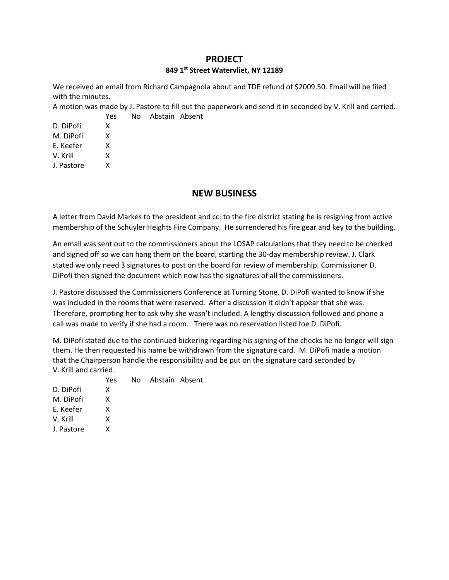### **PROJECT**

#### **849 1st Street Watervliet, NY 12189**

We received an email from Richard Campagnola about and TDE refund of \$2009.50. Email will be filed with the minutes.

A motion was made by J. Pastore to fill out the paperwork and send it in seconded by V. Krill and carried. Yes No Abstain Absent

| χ |
|---|
| χ |
| χ |
| χ |
| χ |
|   |

## **NEW BUSINESS**

A letter from David Markes to the president and cc: to the fire district stating he is resigning from active membership of the Schuyler Heights Fire Company. He surrendered his fire gear and key to the building.

An email was sent out to the commissioners about the LOSAP calculations that they need to be checked and signed off so we can hang them on the board, starting the 30-day membership review. J. Clark stated we only need 3 signatures to post on the board for review of membership. Commissioner D. DiPofi then signed the document which now has the signatures of all the commissioners.

J. Pastore discussed the Commissioners Conference at Turning Stone. D. DiPofi wanted to know if she was included in the rooms that were reserved. After a discussion it didn't appear that she was. Therefore, prompting her to ask why she wasn't included. A lengthy discussion followed and phone a call was made to verify if she had a room. There was no reservation listed foe D. DiPofi.

M. DiPofi stated due to the continued bickering regarding his signing of the checks he no longer will sign them. He then requested his name be withdrawn from the signature card. M. DiPofi made a motion that the Chairperson handle the responsibility and be put on the signature card seconded by V. Krill and carried.

|            | Yes. | No. | Abstain Absent |  |
|------------|------|-----|----------------|--|
| D. DiPofi  | x    |     |                |  |
| M. DiPofi  | x    |     |                |  |
| E. Keefer  | x    |     |                |  |
| V. Krill   | x    |     |                |  |
| J. Pastore | x    |     |                |  |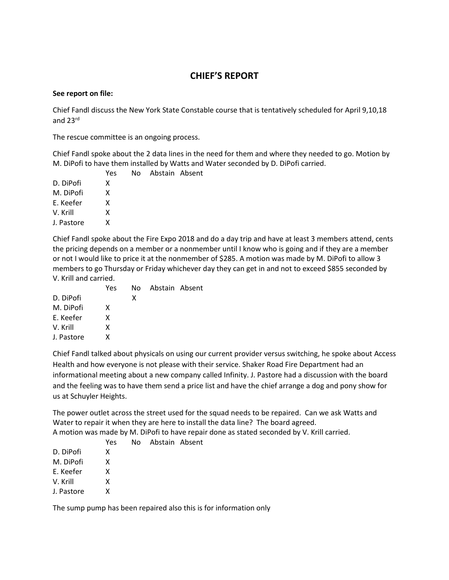# **CHIEF'S REPORT**

#### **See report on file:**

Chief Fandl discuss the New York State Constable course that is tentatively scheduled for April 9,10,18 and 23rd

The rescue committee is an ongoing process.

Chief Fandl spoke about the 2 data lines in the need for them and where they needed to go. Motion by M. DiPofi to have them installed by Watts and Water seconded by D. DiPofi carried.

|            | Yes | No. | Abstain Absent |  |
|------------|-----|-----|----------------|--|
| D. DiPofi  | x   |     |                |  |
| M. DiPofi  | x   |     |                |  |
| E. Keefer  | x   |     |                |  |
| V. Krill   | x   |     |                |  |
| J. Pastore | x   |     |                |  |

Chief Fandl spoke about the Fire Expo 2018 and do a day trip and have at least 3 members attend, cents the pricing depends on a member or a nonmember until I know who is going and if they are a member or not I would like to price it at the nonmember of \$285. A motion was made by M. DiPofi to allow 3 members to go Thursday or Friday whichever day they can get in and not to exceed \$855 seconded by V. Krill and carried.

|            | Yes |   | No Abstain Absent |  |
|------------|-----|---|-------------------|--|
| D. DiPofi  |     | x |                   |  |
| M. DiPofi  | x   |   |                   |  |
| E. Keefer  | x   |   |                   |  |
| V. Krill   | x   |   |                   |  |
| J. Pastore | x   |   |                   |  |

Chief Fandl talked about physicals on using our current provider versus switching, he spoke about Access Health and how everyone is not please with their service. Shaker Road Fire Department had an informational meeting about a new company called Infinity. J. Pastore had a discussion with the board and the feeling was to have them send a price list and have the chief arrange a dog and pony show for us at Schuyler Heights.

The power outlet across the street used for the squad needs to be repaired. Can we ask Watts and Water to repair it when they are here to install the data line? The board agreed.

A motion was made by M. DiPofi to have repair done as stated seconded by V. Krill carried.

|            | ، ب ۲ |
|------------|-------|
| D. DiPofi  | x     |
| M. DiPofi  | x     |
| E. Keefer  | x     |
| V. Krill   | x     |
| J. Pastore | x     |
|            |       |

Yes No Abstain Absent

The sump pump has been repaired also this is for information only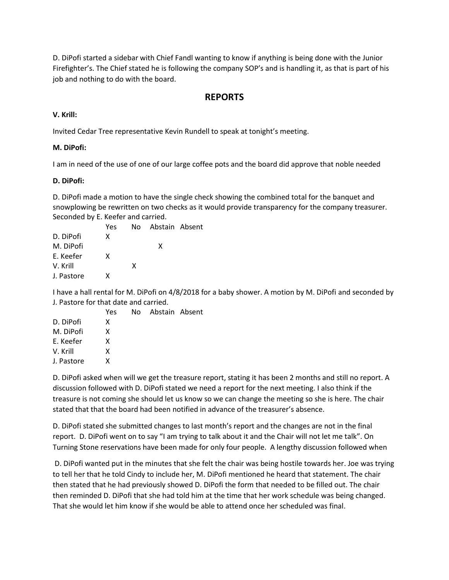D. DiPofi started a sidebar with Chief Fandl wanting to know if anything is being done with the Junior Firefighter's. The Chief stated he is following the company SOP's and is handling it, as that is part of his job and nothing to do with the board.

## **REPORTS**

### **V. Krill:**

Invited Cedar Tree representative Kevin Rundell to speak at tonight's meeting.

### **M. DiPofi:**

I am in need of the use of one of our large coffee pots and the board did approve that noble needed

### **D. DiPofi:**

D. DiPofi made a motion to have the single check showing the combined total for the banquet and snowplowing be rewritten on two checks as it would provide transparency for the company treasurer. Seconded by E. Keefer and carried.

|            | Yes |   | No Abstain Absent |  |
|------------|-----|---|-------------------|--|
| D. DiPofi  | x   |   |                   |  |
| M. DiPofi  |     |   | x                 |  |
| E. Keefer  | x   |   |                   |  |
| V. Krill   |     | x |                   |  |
| J. Pastore | x   |   |                   |  |

I have a hall rental for M. DiPofi on 4/8/2018 for a baby shower. A motion by M. DiPofi and seconded by J. Pastore for that date and carried.

|            | <b>Yes</b> | No. | Abstain Absent |  |
|------------|------------|-----|----------------|--|
| D. DiPofi  | x          |     |                |  |
| M. DiPofi  | x          |     |                |  |
| E. Keefer  | x          |     |                |  |
| V. Krill   | x          |     |                |  |
| J. Pastore | x          |     |                |  |

D. DiPofi asked when will we get the treasure report, stating it has been 2 months and still no report. A discussion followed with D. DiPofi stated we need a report for the next meeting. I also think if the treasure is not coming she should let us know so we can change the meeting so she is here. The chair stated that that the board had been notified in advance of the treasurer's absence.

D. DiPofi stated she submitted changes to last month's report and the changes are not in the final report. D. DiPofi went on to say "I am trying to talk about it and the Chair will not let me talk". On Turning Stone reservations have been made for only four people. A lengthy discussion followed when

D. DiPofi wanted put in the minutes that she felt the chair was being hostile towards her. Joe was trying to tell her that he told Cindy to include her, M. DiPofi mentioned he heard that statement. The chair then stated that he had previously showed D. DiPofi the form that needed to be filled out. The chair then reminded D. DiPofi that she had told him at the time that her work schedule was being changed. That she would let him know if she would be able to attend once her scheduled was final.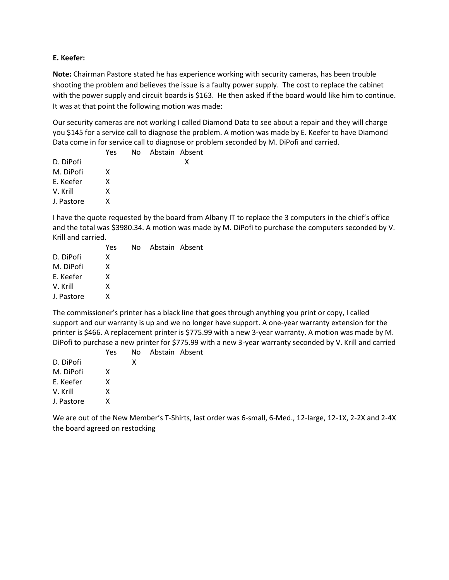#### **E. Keefer:**

**Note:** Chairman Pastore stated he has experience working with security cameras, has been trouble shooting the problem and believes the issue is a faulty power supply. The cost to replace the cabinet with the power supply and circuit boards is \$163. He then asked if the board would like him to continue. It was at that point the following motion was made:

Our security cameras are not working I called Diamond Data to see about a repair and they will charge you \$145 for a service call to diagnose the problem. A motion was made by E. Keefer to have Diamond Data come in for service call to diagnose or problem seconded by M. DiPofi and carried.

| Yes |  |                   |
|-----|--|-------------------|
|     |  | x                 |
| x   |  |                   |
| x   |  |                   |
| x   |  |                   |
| x   |  |                   |
|     |  | No Abstain Absent |

I have the quote requested by the board from Albany IT to replace the 3 computers in the chief's office and the total was \$3980.34. A motion was made by M. DiPofi to purchase the computers seconded by V. Krill and carried.

|            | Yes | No Abstain Absent |  |
|------------|-----|-------------------|--|
| D. DiPofi  | x   |                   |  |
| M. DiPofi  | x   |                   |  |
| E. Keefer  | x   |                   |  |
| V. Krill   | x   |                   |  |
| J. Pastore | x   |                   |  |
|            |     |                   |  |

The commissioner's printer has a black line that goes through anything you print or copy, I called support and our warranty is up and we no longer have support. A one-year warranty extension for the printer is \$466. A replacement printer is \$775.99 with a new 3-year warranty. A motion was made by M. DiPofi to purchase a new printer for \$775.99 with a new 3-year warranty seconded by V. Krill and carried

|            | <b>Yes</b> | No. | Abstain Absent |  |
|------------|------------|-----|----------------|--|
| D. DiPofi  |            | x   |                |  |
| M. DiPofi  | x          |     |                |  |
| E. Keefer  | x          |     |                |  |
| V. Krill   | x          |     |                |  |
| J. Pastore | x          |     |                |  |
|            |            |     |                |  |

We are out of the New Member's T-Shirts, last order was 6-small, 6-Med., 12-large, 12-1X, 2-2X and 2-4X the board agreed on restocking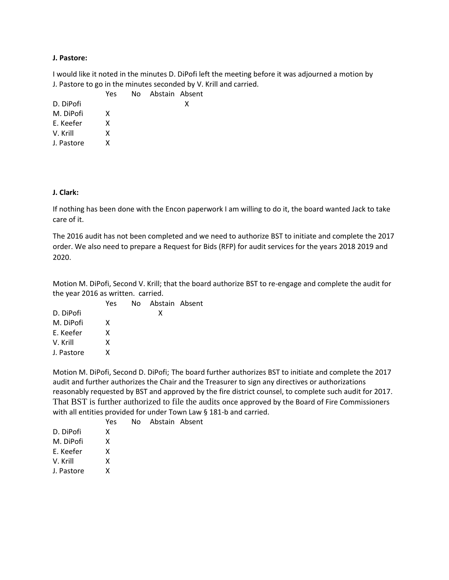#### **J. Pastore:**

I would like it noted in the minutes D. DiPofi left the meeting before it was adjourned a motion by J. Pastore to go in the minutes seconded by V. Krill and carried.

| Yes |  |                   |
|-----|--|-------------------|
|     |  | x                 |
| x   |  |                   |
| x   |  |                   |
| x   |  |                   |
| x   |  |                   |
|     |  | No Abstain Absent |

#### **J. Clark:**

If nothing has been done with the Encon paperwork I am willing to do it, the board wanted Jack to take care of it.

The 2016 audit has not been completed and we need to authorize BST to initiate and complete the 2017 order. We also need to prepare a Request for Bids (RFP) for audit services for the years 2018 2019 and 2020.

Motion M. DiPofi, Second V. Krill; that the board authorize BST to re-engage and complete the audit for the year 2016 as written. carried.

|            | Yes | No Abstain Absent |  |
|------------|-----|-------------------|--|
| D. DiPofi  |     | x                 |  |
| M. DiPofi  | x   |                   |  |
| E. Keefer  | x   |                   |  |
| V. Krill   | x   |                   |  |
| J. Pastore | x   |                   |  |

Motion M. DiPofi, Second D. DiPofi; The board further authorizes BST to initiate and complete the 2017 audit and further authorizes the Chair and the Treasurer to sign any directives or authorizations reasonably requested by BST and approved by the fire district counsel, to complete such audit for 2017. That BST is further authorized to file the audits once approved by the Board of Fire Commissioners with all entities provided for under Town Law § 181-b and carried.

Yes No Abstain Absent

| D. DiPofi  | x |
|------------|---|
| M. DiPofi  | x |
| F. Keefer  | x |
| V. Krill   | x |
| J. Pastore | x |
|            |   |